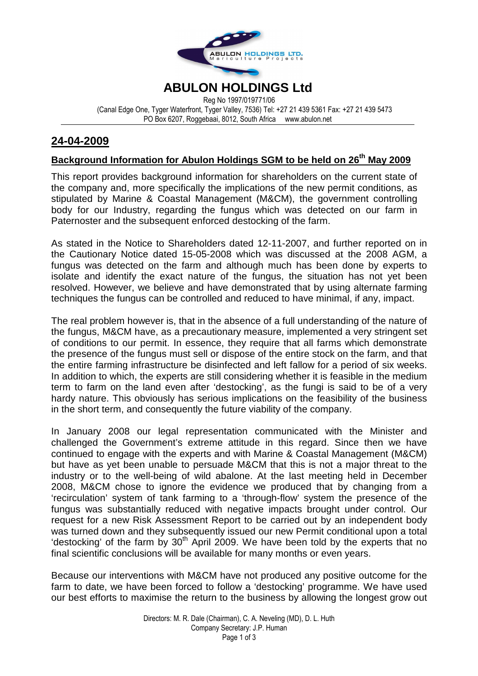

# **ABULON HOLDINGS Ltd**

Reg No 1997/019771/06 (Canal Edge One, Tyger Waterfront, Tyger Valley, 7536) Tel: +27 21 439 5361 Fax: +27 21 439 5473 PO Box 6207, Roggebaai, 8012, South Africa www.abulon.net

### **24-04-2009**

# **Background Information for Abulon Holdings SGM to be held on 26th May 2009**

This report provides background information for shareholders on the current state of the company and, more specifically the implications of the new permit conditions, as stipulated by Marine & Coastal Management (M&CM), the government controlling body for our Industry, regarding the fungus which was detected on our farm in Paternoster and the subsequent enforced destocking of the farm.

As stated in the Notice to Shareholders dated 12-11-2007, and further reported on in the Cautionary Notice dated 15-05-2008 which was discussed at the 2008 AGM, a fungus was detected on the farm and although much has been done by experts to isolate and identify the exact nature of the fungus, the situation has not yet been resolved. However, we believe and have demonstrated that by using alternate farming techniques the fungus can be controlled and reduced to have minimal, if any, impact.

The real problem however is, that in the absence of a full understanding of the nature of the fungus, M&CM have, as a precautionary measure, implemented a very stringent set of conditions to our permit. In essence, they require that all farms which demonstrate the presence of the fungus must sell or dispose of the entire stock on the farm, and that the entire farming infrastructure be disinfected and left fallow for a period of six weeks. In addition to which, the experts are still considering whether it is feasible in the medium term to farm on the land even after 'destocking', as the fungi is said to be of a very hardy nature. This obviously has serious implications on the feasibility of the business in the short term, and consequently the future viability of the company.

In January 2008 our legal representation communicated with the Minister and challenged the Government's extreme attitude in this regard. Since then we have continued to engage with the experts and with Marine & Coastal Management (M&CM) but have as yet been unable to persuade M&CM that this is not a major threat to the industry or to the well-being of wild abalone. At the last meeting held in December 2008, M&CM chose to ignore the evidence we produced that by changing from a 'recirculation' system of tank farming to a 'through-flow' system the presence of the fungus was substantially reduced with negative impacts brought under control. Our request for a new Risk Assessment Report to be carried out by an independent body was turned down and they subsequently issued our new Permit conditional upon a total 'destocking' of the farm by  $30<sup>th</sup>$  April 2009. We have been told by the experts that no final scientific conclusions will be available for many months or even years.

Because our interventions with M&CM have not produced any positive outcome for the farm to date, we have been forced to follow a 'destocking' programme. We have used our best efforts to maximise the return to the business by allowing the longest grow out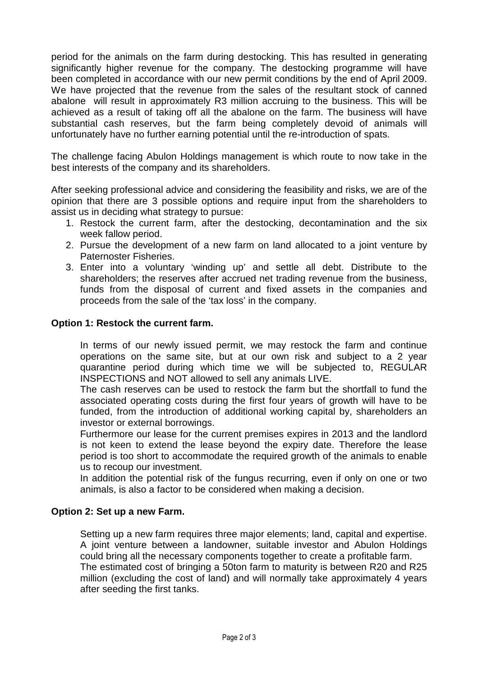period for the animals on the farm during destocking. This has resulted in generating significantly higher revenue for the company. The destocking programme will have been completed in accordance with our new permit conditions by the end of April 2009. We have projected that the revenue from the sales of the resultant stock of canned abalone will result in approximately R3 million accruing to the business. This will be achieved as a result of taking off all the abalone on the farm. The business will have substantial cash reserves, but the farm being completely devoid of animals will unfortunately have no further earning potential until the re-introduction of spats.

The challenge facing Abulon Holdings management is which route to now take in the best interests of the company and its shareholders.

After seeking professional advice and considering the feasibility and risks, we are of the opinion that there are 3 possible options and require input from the shareholders to assist us in deciding what strategy to pursue:

- 1. Restock the current farm, after the destocking, decontamination and the six week fallow period.
- 2. Pursue the development of a new farm on land allocated to a joint venture by Paternoster Fisheries.
- 3. Enter into a voluntary 'winding up' and settle all debt. Distribute to the shareholders; the reserves after accrued net trading revenue from the business, funds from the disposal of current and fixed assets in the companies and proceeds from the sale of the 'tax loss' in the company.

### **Option 1: Restock the current farm.**

In terms of our newly issued permit, we may restock the farm and continue operations on the same site, but at our own risk and subject to a 2 year quarantine period during which time we will be subjected to, REGULAR INSPECTIONS and NOT allowed to sell any animals LIVE.

The cash reserves can be used to restock the farm but the shortfall to fund the associated operating costs during the first four years of growth will have to be funded, from the introduction of additional working capital by, shareholders an investor or external borrowings.

Furthermore our lease for the current premises expires in 2013 and the landlord is not keen to extend the lease beyond the expiry date. Therefore the lease period is too short to accommodate the required growth of the animals to enable us to recoup our investment.

In addition the potential risk of the fungus recurring, even if only on one or two animals, is also a factor to be considered when making a decision.

### **Option 2: Set up a new Farm.**

Setting up a new farm requires three major elements; land, capital and expertise. A joint venture between a landowner, suitable investor and Abulon Holdings could bring all the necessary components together to create a profitable farm. The estimated cost of bringing a 50ton farm to maturity is between R20 and R25 million (excluding the cost of land) and will normally take approximately 4 years after seeding the first tanks.